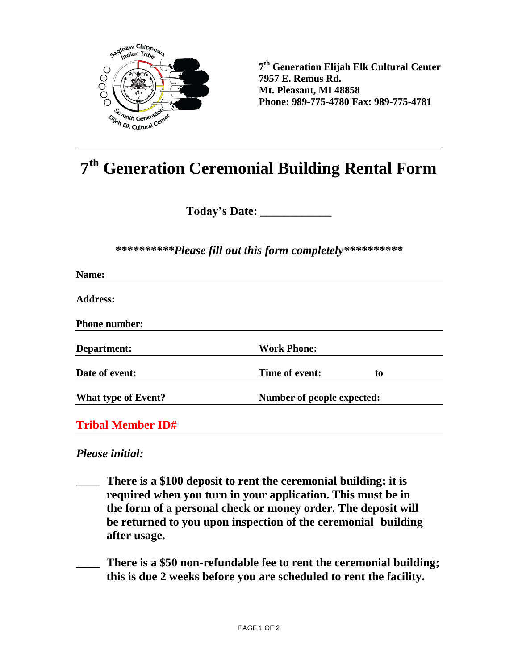

**7 th Generation Elijah Elk Cultural Center 7957 E. Remus Rd. Mt. Pleasant, MI 48858 Phone: 989-775-4780 Fax: 989-775-4781**

## **7 th Generation Ceremonial Building Rental Form**

**Today's Date: \_\_\_\_\_\_\_\_\_\_\_\_**

*\*\*\*\*\*\*\*\*\*\*Please fill out this form completely\*\*\*\*\*\*\*\*\*\**

| Name:                      |                            |    |
|----------------------------|----------------------------|----|
| <b>Address:</b>            |                            |    |
| <b>Phone number:</b>       |                            |    |
| Department:                | <b>Work Phone:</b>         |    |
| Date of event:             | Time of event:             | to |
| <b>What type of Event?</b> | Number of people expected: |    |
| <b>Tribal Member ID#</b>   |                            |    |

*Please initial:*

- **\_\_\_\_ There is a \$100 deposit to rent the ceremonial building; it is required when you turn in your application. This must be in the form of a personal check or money order. The deposit will be returned to you upon inspection of the ceremonial building after usage.**
- **\_\_\_\_ There is a \$50 non-refundable fee to rent the ceremonial building; this is due 2 weeks before you are scheduled to rent the facility.**